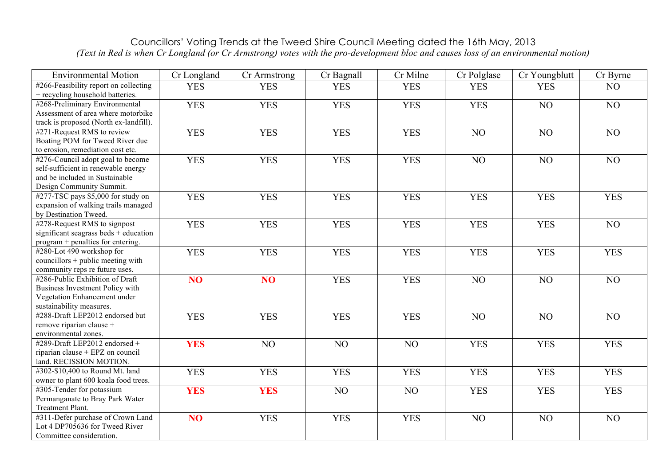## Councillors' Voting Trends at the Tweed Shire Council Meeting dated the 16th May, 2013 *(Text in Red is when Cr Longland (or Cr Armstrong) votes with the pro-development bloc and causes loss of an environmental motion)*

| <b>Environmental Motion</b>                                                                                                            | Cr Longland     | Cr Armstrong    | Cr Bagnall | Cr Milne   | Cr Polglase | Cr Youngblutt | Cr Byrne   |
|----------------------------------------------------------------------------------------------------------------------------------------|-----------------|-----------------|------------|------------|-------------|---------------|------------|
| #266-Feasibility report on collecting<br>+ recycling household batteries.                                                              | <b>YES</b>      | <b>YES</b>      | <b>YES</b> | <b>YES</b> | <b>YES</b>  | <b>YES</b>    | NO         |
| #268-Preliminary Environmental<br>Assessment of area where motorbike<br>track is proposed (North ex-landfill).                         | <b>YES</b>      | <b>YES</b>      | <b>YES</b> | <b>YES</b> | <b>YES</b>  | NO            | NO         |
| #271-Request RMS to review<br>Boating POM for Tweed River due<br>to erosion, remediation cost etc.                                     | <b>YES</b>      | <b>YES</b>      | <b>YES</b> | <b>YES</b> | NO          | NO            | NO         |
| #276-Council adopt goal to become<br>self-sufficient in renewable energy<br>and be included in Sustainable<br>Design Community Summit. | <b>YES</b>      | <b>YES</b>      | <b>YES</b> | <b>YES</b> | NO          | NO            | NO         |
| #277-TSC pays \$5,000 for study on<br>expansion of walking trails managed<br>by Destination Tweed.                                     | <b>YES</b>      | <b>YES</b>      | <b>YES</b> | <b>YES</b> | <b>YES</b>  | <b>YES</b>    | <b>YES</b> |
| #278-Request RMS to signpost<br>significant seagrass beds + education<br>program + penalties for entering.                             | <b>YES</b>      | <b>YES</b>      | <b>YES</b> | <b>YES</b> | <b>YES</b>  | <b>YES</b>    | NO         |
| #280-Lot 490 workshop for<br>councillors $+$ public meeting with<br>community reps re future uses.                                     | <b>YES</b>      | <b>YES</b>      | <b>YES</b> | <b>YES</b> | <b>YES</b>  | <b>YES</b>    | <b>YES</b> |
| #286-Public Exhibition of Draft<br><b>Business Investment Policy with</b><br>Vegetation Enhancement under<br>sustainability measures.  | NO <sub>1</sub> | NO <sub>1</sub> | <b>YES</b> | <b>YES</b> | NO          | NO            | NO         |
| #288-Draft LEP2012 endorsed but<br>remove riparian clause +<br>environmental zones.                                                    | <b>YES</b>      | <b>YES</b>      | <b>YES</b> | <b>YES</b> | NO          | NO            | NO         |
| #289-Draft LEP2012 endorsed +<br>riparian clause + EPZ on council<br>land. RECISSION MOTION.                                           | <b>YES</b>      | NO              | NO         | NO         | <b>YES</b>  | <b>YES</b>    | <b>YES</b> |
| #302-\$10,400 to Round Mt. land<br>owner to plant 600 koala food trees.                                                                | <b>YES</b>      | <b>YES</b>      | <b>YES</b> | <b>YES</b> | <b>YES</b>  | <b>YES</b>    | <b>YES</b> |
| #305-Tender for potassium<br>Permanganate to Bray Park Water<br>Treatment Plant.                                                       | <b>YES</b>      | <b>YES</b>      | NO         | NO         | <b>YES</b>  | <b>YES</b>    | <b>YES</b> |
| #311-Defer purchase of Crown Land<br>Lot 4 DP705636 for Tweed River<br>Committee consideration.                                        | NO              | <b>YES</b>      | <b>YES</b> | <b>YES</b> | NO          | NO            | NO         |